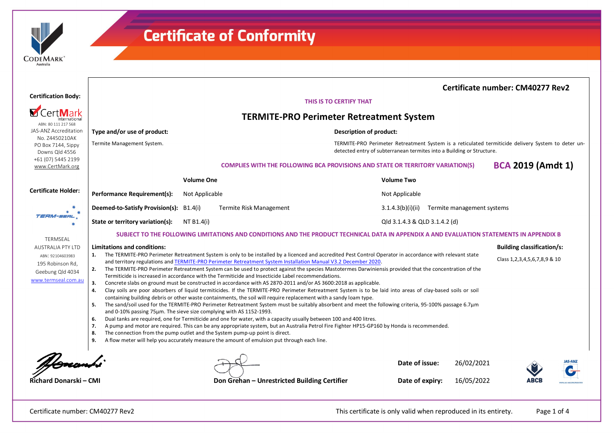| <b>ODEMARK</b> |  |
|----------------|--|
| Australia      |  |

|                                                        |                                                                                                                                                                                                                                                                                                                                                                                                                                                                                                                                                                                                                                                                                                                                                                                                                                                                                                                                                             |                                |                                                                                                                                                                             |                                                                                       |                               |  | Certificate number: CM40277 Rev2 |                          |  |  |  |
|--------------------------------------------------------|-------------------------------------------------------------------------------------------------------------------------------------------------------------------------------------------------------------------------------------------------------------------------------------------------------------------------------------------------------------------------------------------------------------------------------------------------------------------------------------------------------------------------------------------------------------------------------------------------------------------------------------------------------------------------------------------------------------------------------------------------------------------------------------------------------------------------------------------------------------------------------------------------------------------------------------------------------------|--------------------------------|-----------------------------------------------------------------------------------------------------------------------------------------------------------------------------|---------------------------------------------------------------------------------------|-------------------------------|--|----------------------------------|--------------------------|--|--|--|
| <b>Certification Body:</b>                             | THIS IS TO CERTIFY THAT                                                                                                                                                                                                                                                                                                                                                                                                                                                                                                                                                                                                                                                                                                                                                                                                                                                                                                                                     |                                |                                                                                                                                                                             |                                                                                       |                               |  |                                  |                          |  |  |  |
|                                                        | <b>TERMITE-PRO Perimeter Retreatment System</b>                                                                                                                                                                                                                                                                                                                                                                                                                                                                                                                                                                                                                                                                                                                                                                                                                                                                                                             |                                |                                                                                                                                                                             |                                                                                       |                               |  |                                  |                          |  |  |  |
| ABN: 80 111 217 568<br>JAS-ANZ Accreditation           | Type and/or use of product:                                                                                                                                                                                                                                                                                                                                                                                                                                                                                                                                                                                                                                                                                                                                                                                                                                                                                                                                 | <b>Description of product:</b> |                                                                                                                                                                             |                                                                                       |                               |  |                                  |                          |  |  |  |
| No. Z4450210AK<br>PO Box 7144, Sippy<br>Downs Qld 4556 | Termite Management System.                                                                                                                                                                                                                                                                                                                                                                                                                                                                                                                                                                                                                                                                                                                                                                                                                                                                                                                                  |                                | TERMITE-PRO Perimeter Retreatment System is a reticulated termiticide delivery System to deter un-<br>detected entry of subterranean termites into a Building or Structure. |                                                                                       |                               |  |                                  |                          |  |  |  |
| +61 (07) 5445 2199<br>www.CertMark.org                 |                                                                                                                                                                                                                                                                                                                                                                                                                                                                                                                                                                                                                                                                                                                                                                                                                                                                                                                                                             |                                |                                                                                                                                                                             | <b>COMPLIES WITH THE FOLLOWING BCA PROVISIONS AND STATE OR TERRITORY VARIATION(S)</b> |                               |  |                                  | <b>BCA 2019 (Amdt 1)</b> |  |  |  |
|                                                        |                                                                                                                                                                                                                                                                                                                                                                                                                                                                                                                                                                                                                                                                                                                                                                                                                                                                                                                                                             | <b>Volume One</b>              |                                                                                                                                                                             |                                                                                       | <b>Volume Two</b>             |  |                                  |                          |  |  |  |
| <b>Certificate Holder:</b>                             | <b>Performance Requirement(s):</b>                                                                                                                                                                                                                                                                                                                                                                                                                                                                                                                                                                                                                                                                                                                                                                                                                                                                                                                          | Not Applicable                 |                                                                                                                                                                             |                                                                                       | Not Applicable                |  |                                  |                          |  |  |  |
| TERM-SERL                                              | Deemed-to-Satisfy Provision(s): B1.4(i)                                                                                                                                                                                                                                                                                                                                                                                                                                                                                                                                                                                                                                                                                                                                                                                                                                                                                                                     |                                | Termite Risk Management                                                                                                                                                     |                                                                                       | 3.1.4.3(b)(i)(ii)             |  | Termite management systems       |                          |  |  |  |
|                                                        | State or territory variation(s):                                                                                                                                                                                                                                                                                                                                                                                                                                                                                                                                                                                                                                                                                                                                                                                                                                                                                                                            | NT B1.4(i)                     |                                                                                                                                                                             |                                                                                       | Qld 3.1.4.3 & QLD 3.1.4.2 (d) |  |                                  |                          |  |  |  |
| <b>TERMSEAL</b>                                        |                                                                                                                                                                                                                                                                                                                                                                                                                                                                                                                                                                                                                                                                                                                                                                                                                                                                                                                                                             |                                | SUBJECT TO THE FOLLOWING LIMITATIONS AND CONDITIONS AND THE PRODUCT TECHNICAL DATA IN APPENDIX A AND EVALUATION STATEMENTS IN APPENDIX B                                    |                                                                                       |                               |  |                                  |                          |  |  |  |
| <b>AUSTRALIA PTY LTD</b>                               | Limitations and conditions:<br><b>Building classification/s:</b><br>The TERMITE-PRO Perimeter Retreatment System is only to be installed by a licenced and accredited Pest Control Operator in accordance with relevant state<br>1.<br>Class 1, 2, 3, 4, 5, 6, 7, 8, 9 & 10<br>and territory regulations and TERMITE-PRO Perimeter Retreatment System Installation Manual V3.2 December 2020.<br>The TERMITE-PRO Perimeter Retreatment System can be used to protect against the species Mastotermes Darwiniensis provided that the concentration of the<br>2.<br>Termiticide is increased in accordance with the Termiticide and Insecticide Label recommendations.<br>Concrete slabs on ground must be constructed in accordance with AS 2870-2011 and/or AS 3600:2018 as applicable.<br>3.<br>Clay soils are poor absorbers of liquid termiticides. If the TERMITE-PRO Perimeter Retreatment System is to be laid into areas of clay-based soils or soil |                                |                                                                                                                                                                             |                                                                                       |                               |  |                                  |                          |  |  |  |
| ABN: 92104603983<br>195 Robinson Rd.                   |                                                                                                                                                                                                                                                                                                                                                                                                                                                                                                                                                                                                                                                                                                                                                                                                                                                                                                                                                             |                                |                                                                                                                                                                             |                                                                                       |                               |  |                                  |                          |  |  |  |
| Geebung Qld 4034                                       |                                                                                                                                                                                                                                                                                                                                                                                                                                                                                                                                                                                                                                                                                                                                                                                                                                                                                                                                                             |                                |                                                                                                                                                                             |                                                                                       |                               |  |                                  |                          |  |  |  |
| www.termseal.com.au                                    |                                                                                                                                                                                                                                                                                                                                                                                                                                                                                                                                                                                                                                                                                                                                                                                                                                                                                                                                                             |                                |                                                                                                                                                                             |                                                                                       |                               |  |                                  |                          |  |  |  |
|                                                        | 4.                                                                                                                                                                                                                                                                                                                                                                                                                                                                                                                                                                                                                                                                                                                                                                                                                                                                                                                                                          |                                | containing building debris or other waste containments, the soil will require replacement with a sandy loam type.                                                           |                                                                                       |                               |  |                                  |                          |  |  |  |
|                                                        | 5.<br>and 0-10% passing 75um. The sieve size complying with AS 1152-1993.                                                                                                                                                                                                                                                                                                                                                                                                                                                                                                                                                                                                                                                                                                                                                                                                                                                                                   |                                | The sand/soil used for the TERMITE-PRO Perimeter Retreatment System must be suitably absorbent and meet the following criteria, 95-100% passage 6.7µm                       |                                                                                       |                               |  |                                  |                          |  |  |  |
|                                                        | 6.                                                                                                                                                                                                                                                                                                                                                                                                                                                                                                                                                                                                                                                                                                                                                                                                                                                                                                                                                          |                                | Dual tanks are required, one for Termiticide and one for water, with a capacity usually between 100 and 400 litres.                                                         |                                                                                       |                               |  |                                  |                          |  |  |  |
|                                                        | 7.<br>The connection from the pump outlet and the System pump-up point is direct.<br>8.                                                                                                                                                                                                                                                                                                                                                                                                                                                                                                                                                                                                                                                                                                                                                                                                                                                                     |                                | A pump and motor are required. This can be any appropriate system, but an Australia Petrol Fire Fighter HP15-GP160 by Honda is recommended.                                 |                                                                                       |                               |  |                                  |                          |  |  |  |
|                                                        | 9.                                                                                                                                                                                                                                                                                                                                                                                                                                                                                                                                                                                                                                                                                                                                                                                                                                                                                                                                                          |                                | A flow meter will help you accurately measure the amount of emulsion put through each line.                                                                                 |                                                                                       |                               |  |                                  |                          |  |  |  |
|                                                        |                                                                                                                                                                                                                                                                                                                                                                                                                                                                                                                                                                                                                                                                                                                                                                                                                                                                                                                                                             |                                |                                                                                                                                                                             |                                                                                       |                               |  |                                  |                          |  |  |  |
|                                                        |                                                                                                                                                                                                                                                                                                                                                                                                                                                                                                                                                                                                                                                                                                                                                                                                                                                                                                                                                             |                                |                                                                                                                                                                             |                                                                                       | Date of issue:                |  | 26/02/2021                       |                          |  |  |  |
| Richard Donarski - CMI                                 |                                                                                                                                                                                                                                                                                                                                                                                                                                                                                                                                                                                                                                                                                                                                                                                                                                                                                                                                                             |                                | Don Grehan - Unrestricted Building Certifier                                                                                                                                |                                                                                       | Date of expiry:               |  | 16/05/2022                       |                          |  |  |  |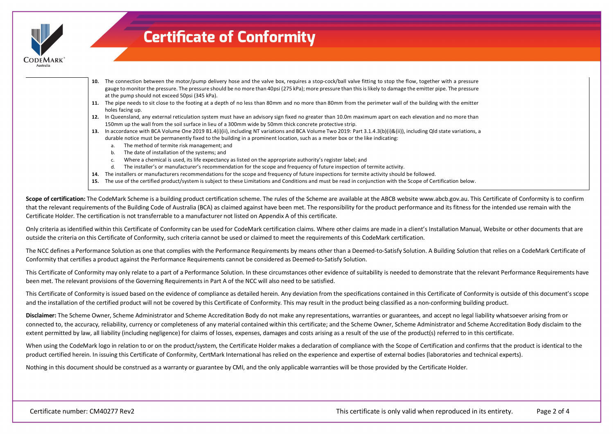

- **10.** The connection between the motor/pump delivery hose and the valve box, requires a stop-cock/ball valve fitting to stop the flow, together with a pressure gauge to monitor the pressure. The pressure should be no more than 40psi (275 kPa); more pressure than this is likely to damage the emitter pipe. The pressure at the pump should not exceed 50psi (345 kPa).
- **11.** The pipe needs to sit close to the footing at a depth of no less than 80mm and no more than 80mm from the perimeter wall of the building with the emitter holes facing up.
- **12.** In Queensland, any external reticulation system must have an advisory sign fixed no greater than 10.0m maximum apart on each elevation and no more than 150mm up the wall from the soil surface in lieu of a 300mm wide by 50mm thick concrete protective strip.
- **13.** In accordance with BCA Volume One 2019 B1.4(i)(ii), including NT variations and BCA Volume Two 2019: Part 3.1.4.3(b)(i)&(ii)), including Qld state variations, a durable notice must be permanently fixed to the building in a prominent location, such as a meter box or the like indicating:
	- a. The method of termite risk management; and
	- b. The date of installation of the systems; and
	- c. Where a chemical is used, its life expectancy as listed on the appropriate authority's register label; and
	- d. The installer's or manufacturer's recommendation for the scope and frequency of future inspection of termite activity.
- **14.** The installers or manufacturers recommendations for the scope and frequency of future inspections for termite activity should be followed.
- **15.** The use of the certified product/system is subject to these Limitations and Conditions and must be read in conjunction with the Scope of Certification below.

Scope of certification: The CodeMark Scheme is a building product certification scheme. The rules of the Scheme are available at the ABCB website www.abcb.gov.au. This Certificate of Conformity is to confirm that the relevant requirements of the Building Code of Australia (BCA) as claimed against have been met. The responsibility for the product performance and its fitness for the intended use remain with the Certificate Holder. The certification is not transferrable to a manufacturer not listed on Appendix A of this certificate.

Only criteria as identified within this Certificate of Conformity can be used for CodeMark certification claims. Where other claims are made in a client's Installation Manual, Website or other documents that are outside the criteria on this Certificate of Conformity, such criteria cannot be used or claimed to meet the requirements of this CodeMark certification.

The NCC defines a Performance Solution as one that complies with the Performance Requirements by means other than a Deemed-to-Satisfy Solution. A Building Solution that relies on a CodeMark Certificate of Conformity that certifies a product against the Performance Requirements cannot be considered as Deemed-to-Satisfy Solution.

This Certificate of Conformity may only relate to a part of a Performance Solution. In these circumstances other evidence of suitability is needed to demonstrate that the relevant Performance Requirements have been met. The relevant provisions of the Governing Requirements in Part A of the NCC will also need to be satisfied.

This Certificate of Conformity is issued based on the evidence of compliance as detailed herein. Any deviation from the specifications contained in this Certificate of Conformity is outside of this document's scope and the installation of the certified product will not be covered by this Certificate of Conformity. This may result in the product being classified as a non-conforming building product.

**Disclaimer:** The Scheme Owner, Scheme Administrator and Scheme Accreditation Body do not make any representations, warranties or guarantees, and accept no legal liability whatsoever arising from or connected to, the accuracy, reliability, currency or completeness of any material contained within this certificate; and the Scheme Owner, Scheme Administrator and Scheme Accreditation Body disclaim to the extent permitted by law, all liability (including negligence) for claims of losses, expenses, damages and costs arising as a result of the use of the product(s) referred to in this certificate.

When using the CodeMark logo in relation to or on the product/system, the Certificate Holder makes a declaration of compliance with the Scope of Certification and confirms that the product is identical to the product certified herein. In issuing this Certificate of Conformity, CertMark International has relied on the experience and expertise of external bodies (laboratories and technical experts).

Nothing in this document should be construed as a warranty or guarantee by CMI, and the only applicable warranties will be those provided by the Certificate Holder.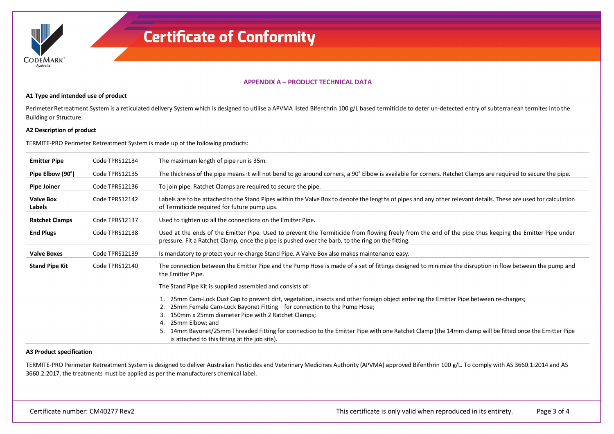

### **APPENDIX A – PRODUCT TECHNICAL DATA**

#### **A1 Type and intended use of product**

Perimeter Retreatment System is a reticulated delivery System which is designed to utilise a APVMA listed Bifenthrin 100 g/L based termiticide to deter un-detected entry of subterranean termites into the Building or Structure.

### **A2 Description of product**

TERMITE-PRO Perimeter Retreatment System is made up of the following products:

| <b>Emitter Pipe</b>        | Code TPRS12134 | The maximum length of pipe run is 35m.                                                                                                                                                                                                                                                                                                                                                                                                                                                                           |
|----------------------------|----------------|------------------------------------------------------------------------------------------------------------------------------------------------------------------------------------------------------------------------------------------------------------------------------------------------------------------------------------------------------------------------------------------------------------------------------------------------------------------------------------------------------------------|
| Pipe Elbow (90°)           | Code TPRS12135 | The thickness of the pipe means it will not bend to go around corners, a 90° Elbow is available for corners. Ratchet Clamps are required to secure the pipe.                                                                                                                                                                                                                                                                                                                                                     |
| <b>Pipe Joiner</b>         | Code TPRS12136 | To join pipe. Ratchet Clamps are required to secure the pipe.                                                                                                                                                                                                                                                                                                                                                                                                                                                    |
| <b>Valve Box</b><br>Labels | Code TPRS12142 | Labels are to be attached to the Stand Pipes within the Valve Box to denote the lengths of pipes and any other relevant details. These are used for calculation<br>of Termiticide required for future pump ups.                                                                                                                                                                                                                                                                                                  |
| <b>Ratchet Clamps</b>      | Code TPRS12137 | Used to tighten up all the connections on the Emitter Pipe.                                                                                                                                                                                                                                                                                                                                                                                                                                                      |
| <b>End Plugs</b>           | Code TPRS12138 | Used at the ends of the Emitter Pipe. Used to prevent the Termiticide from flowing freely from the end of the pipe thus keeping the Emitter Pipe under<br>pressure. Fit a Ratchet Clamp, once the pipe is pushed over the barb, to the ring on the fitting.                                                                                                                                                                                                                                                      |
| <b>Valve Boxes</b>         | Code TPRS12139 | Is mandatory to protect your re-charge Stand Pipe. A Valve Box also makes maintenance easy.                                                                                                                                                                                                                                                                                                                                                                                                                      |
| <b>Stand Pipe Kit</b>      | Code TPRS12140 | The connection between the Emitter Pipe and the Pump Hose is made of a set of fittings designed to minimize the disruption in flow between the pump and<br>the Emitter Pipe.                                                                                                                                                                                                                                                                                                                                     |
|                            |                | The Stand Pipe Kit is supplied assembled and consists of:                                                                                                                                                                                                                                                                                                                                                                                                                                                        |
|                            |                | 1. 25mm Cam-Lock Dust Cap to prevent dirt, vegetation, insects and other foreign object entering the Emitter Pipe between re-charges;<br>2. 25mm Female Cam-Lock Bayonet Fitting - for connection to the Pump Hose;<br>150mm x 25mm diameter Pipe with 2 Ratchet Clamps;<br>3.<br>4. 25mm Elbow; and<br>14mm Bayonet/25mm Threaded Fitting for connection to the Emitter Pipe with one Ratchet Clamp (the 14mm clamp will be fitted once the Emitter Pipe<br>5.<br>is attached to this fitting at the job site). |

### **A3 Product specification**

TERMITE-PRO Perimeter Retreatment System is designed to deliver Australian Pesticides and Veterinary Medicines Authority (APVMA) approved Bifenthrin 100 g/L. To comply with AS 3660.1:2014 and AS 3660.2:2017, the treatments must be applied as per the manufacturers chemical label.